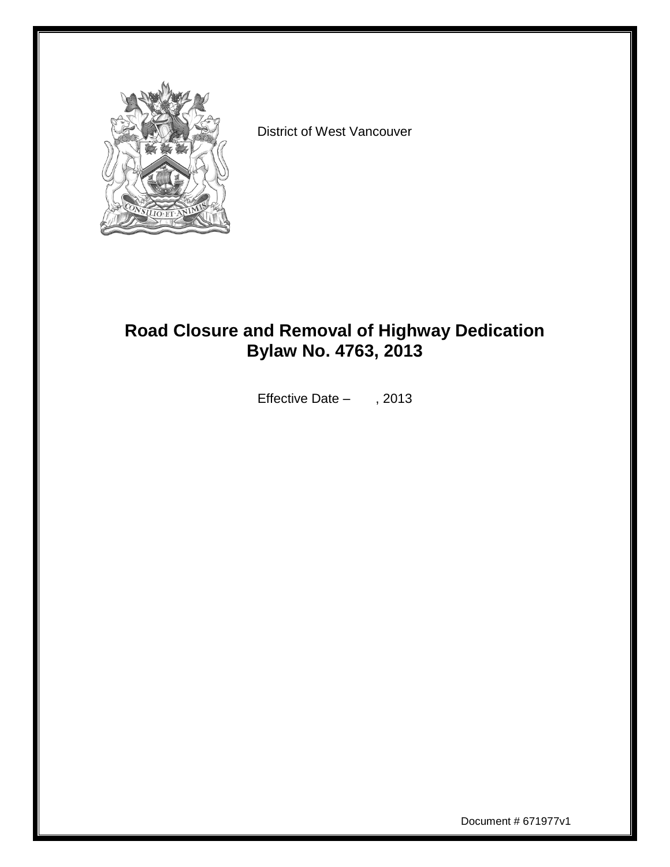

District of West Vancouver

## **Road Closure and Removal of Highway Dedication Bylaw No. 4763, 2013**

Effective Date – , 2013

Document # 671977v1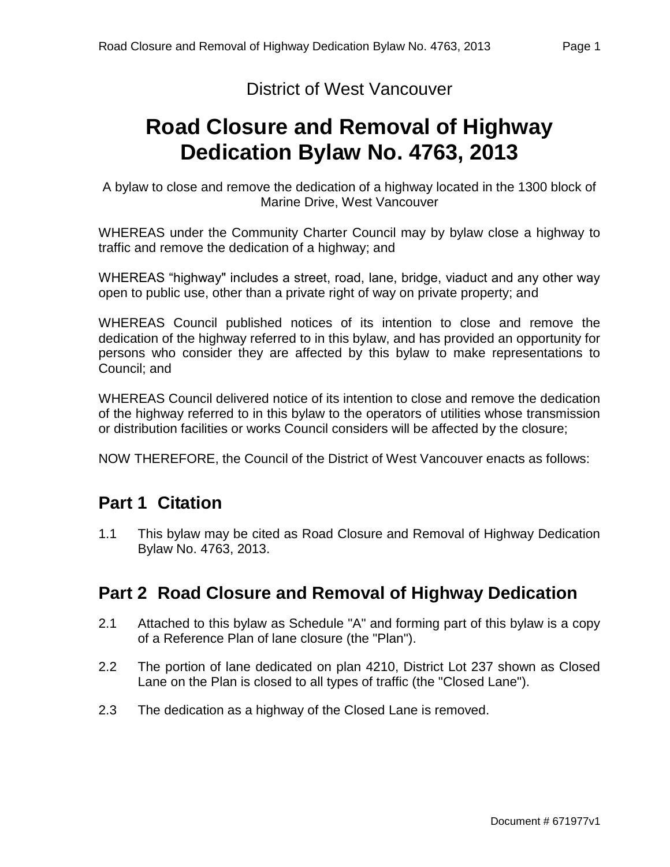#### District of West Vancouver

# **Road Closure and Removal of Highway Dedication Bylaw No. 4763, 2013**

A bylaw to close and remove the dedication of a highway located in the 1300 block of Marine Drive, West Vancouver

WHEREAS under the Community Charter Council may by bylaw close a highway to traffic and remove the dedication of a highway; and

WHEREAS "highway" includes a street, road, lane, bridge, viaduct and any other way open to public use, other than a private right of way on private property; and

WHEREAS Council published notices of its intention to close and remove the dedication of the highway referred to in this bylaw, and has provided an opportunity for persons who consider they are affected by this bylaw to make representations to Council; and

WHEREAS Council delivered notice of its intention to close and remove the dedication of the highway referred to in this bylaw to the operators of utilities whose transmission or distribution facilities or works Council considers will be affected by the closure;

NOW THEREFORE, the Council of the District of West Vancouver enacts as follows:

### **Part 1 Citation**

1.1 This bylaw may be cited as Road Closure and Removal of Highway Dedication Bylaw No. 4763, 2013.

### **Part 2 Road Closure and Removal of Highway Dedication**

- 2.1 Attached to this bylaw as Schedule "A" and forming part of this bylaw is a copy of a Reference Plan of lane closure (the "Plan").
- 2.2 The portion of lane dedicated on plan 4210, District Lot 237 shown as Closed Lane on the Plan is closed to all types of traffic (the "Closed Lane").
- 2.3 The dedication as a highway of the Closed Lane is removed.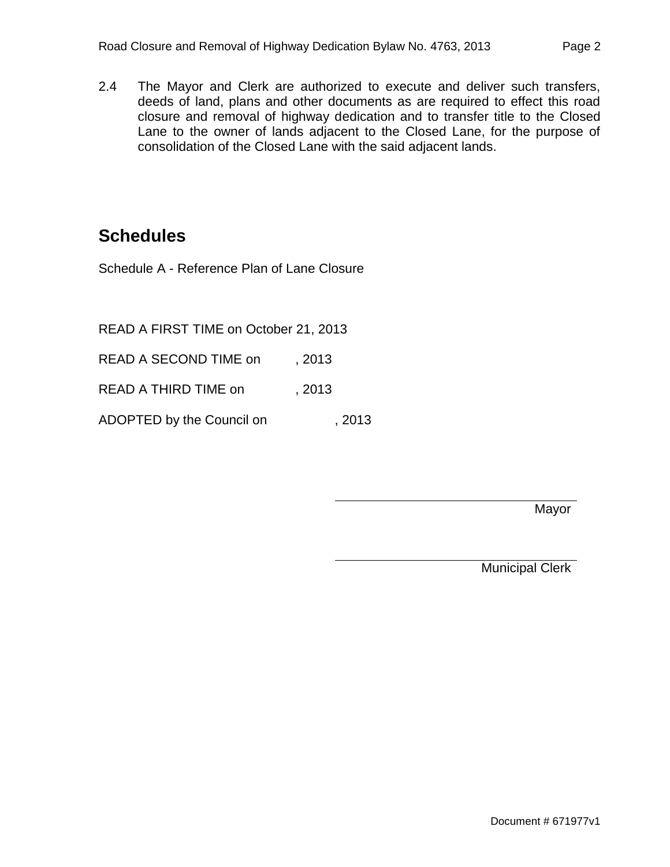2.4 The Mayor and Clerk are authorized to execute and deliver such transfers, deeds of land, plans and other documents as are required to effect this road closure and removal of highway dedication and to transfer title to the Closed Lane to the owner of lands adjacent to the Closed Lane, for the purpose of consolidation of the Closed Lane with the said adjacent lands.

### **Schedules**

Schedule A - Reference Plan of Lane Closure

READ A FIRST TIME on October 21, 2013

READ A SECOND TIME on , 2013

READ A THIRD TIME on , 2013

ADOPTED by the Council on , 2013

Mayor

Municipal Clerk